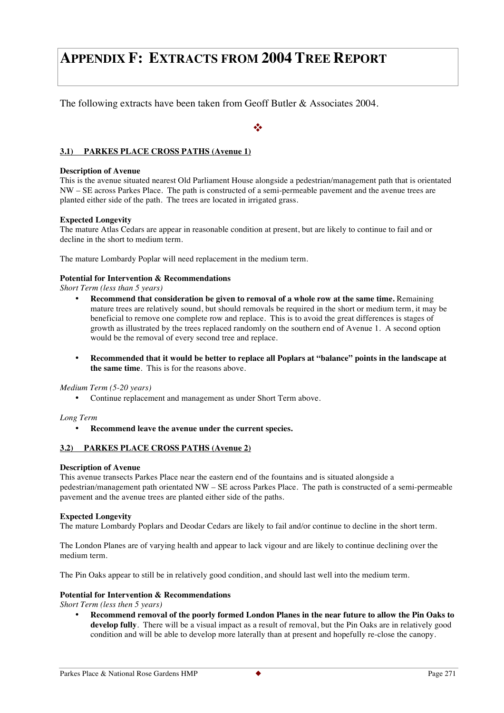# **APPENDIX F: EXTRACTS FROM 2004 TREE REPORT**

The following extracts have been taken from Geoff Butler & Associates 2004.

### **3.1) PARKES PLACE CROSS PATHS (Avenue 1)**

#### **Description of Avenue**

This is the avenue situated nearest Old Parliament House alongside a pedestrian/management path that is orientated NW – SE across Parkes Place. The path is constructed of a semi-permeable pavement and the avenue trees are planted either side of the path. The trees are located in irrigated grass.

÷

### **Expected Longevity**

The mature Atlas Cedars are appear in reasonable condition at present, but are likely to continue to fail and or decline in the short to medium term.

The mature Lombardy Poplar will need replacement in the medium term.

### **Potential for Intervention & Recommendations**

*Short Term (less than 5 years)*

- **Recommend that consideration be given to removal of a whole row at the same time.** Remaining mature trees are relatively sound, but should removals be required in the short or medium term, it may be beneficial to remove one complete row and replace. This is to avoid the great differences is stages of growth as illustrated by the trees replaced randomly on the southern end of Avenue 1. A second option would be the removal of every second tree and replace.
- **Recommended that it would be better to replace all Poplars at "balance" points in the landscape at the same time**. This is for the reasons above.

### *Medium Term (5-20 years)*

• Continue replacement and management as under Short Term above.

#### *Long Term*

• **Recommend leave the avenue under the current species.**

### **3.2) PARKES PLACE CROSS PATHS (Avenue 2)**

#### **Description of Avenue**

This avenue transects Parkes Place near the eastern end of the fountains and is situated alongside a pedestrian/management path orientated NW – SE across Parkes Place. The path is constructed of a semi-permeable pavement and the avenue trees are planted either side of the paths.

### **Expected Longevity**

The mature Lombardy Poplars and Deodar Cedars are likely to fail and/or continue to decline in the short term.

The London Planes are of varying health and appear to lack vigour and are likely to continue declining over the medium term.

The Pin Oaks appear to still be in relatively good condition, and should last well into the medium term.

### **Potential for Intervention & Recommendations**

*Short Term (less then 5 years)*

• **Recommend removal of the poorly formed London Planes in the near future to allow the Pin Oaks to develop fully**. There will be a visual impact as a result of removal, but the Pin Oaks are in relatively good condition and will be able to develop more laterally than at present and hopefully re-close the canopy.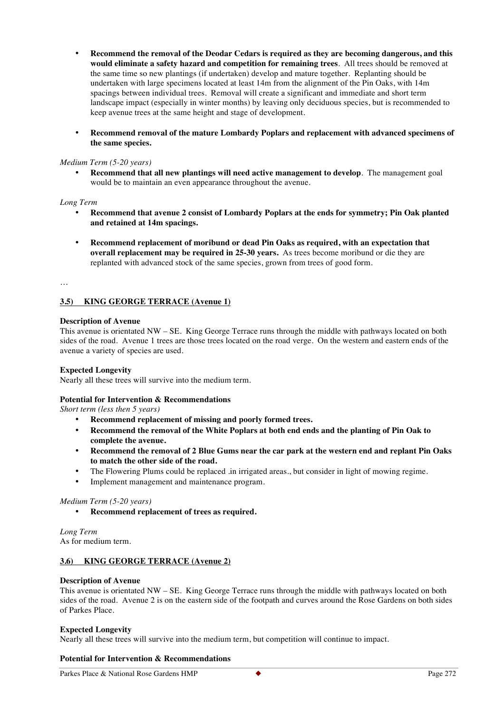- **Recommend the removal of the Deodar Cedars is required as they are becoming dangerous, and this would eliminate a safety hazard and competition for remaining trees**. All trees should be removed at the same time so new plantings (if undertaken) develop and mature together. Replanting should be undertaken with large specimens located at least 14m from the alignment of the Pin Oaks, with 14m spacings between individual trees. Removal will create a significant and immediate and short term landscape impact (especially in winter months) by leaving only deciduous species, but is recommended to keep avenue trees at the same height and stage of development.
- **Recommend removal of the mature Lombardy Poplars and replacement with advanced specimens of the same species.**

#### *Medium Term (5-20 years)*

• **Recommend that all new plantings will need active management to develop**. The management goal would be to maintain an even appearance throughout the avenue.

#### *Long Term*

- **Recommend that avenue 2 consist of Lombardy Poplars at the ends for symmetry; Pin Oak planted and retained at 14m spacings.**
- **Recommend replacement of moribund or dead Pin Oaks as required, with an expectation that overall replacement may be required in 25-30 years.** As trees become moribund or die they are replanted with advanced stock of the same species, grown from trees of good form.

…

#### **3.5) KING GEORGE TERRACE (Avenue 1)**

#### **Description of Avenue**

This avenue is orientated NW – SE. King George Terrace runs through the middle with pathways located on both sides of the road. Avenue 1 trees are those trees located on the road verge. On the western and eastern ends of the avenue a variety of species are used.

### **Expected Longevity**

Nearly all these trees will survive into the medium term.

#### **Potential for Intervention & Recommendations**

*Short term (less then 5 years)*

- **Recommend replacement of missing and poorly formed trees.**
- **Recommend the removal of the White Poplars at both end ends and the planting of Pin Oak to complete the avenue.**
- **Recommend the removal of 2 Blue Gums near the car park at the western end and replant Pin Oaks to match the other side of the road.**
- The Flowering Plums could be replaced .in irrigated areas., but consider in light of mowing regime.
- Implement management and maintenance program.

#### *Medium Term (5-20 years)*

• **Recommend replacement of trees as required.**

*Long Term* As for medium term.

#### **3.6) KING GEORGE TERRACE (Avenue 2)**

#### **Description of Avenue**

This avenue is orientated NW – SE. King George Terrace runs through the middle with pathways located on both sides of the road. Avenue 2 is on the eastern side of the footpath and curves around the Rose Gardens on both sides of Parkes Place.

#### **Expected Longevity**

Nearly all these trees will survive into the medium term, but competition will continue to impact.

#### **Potential for Intervention & Recommendations**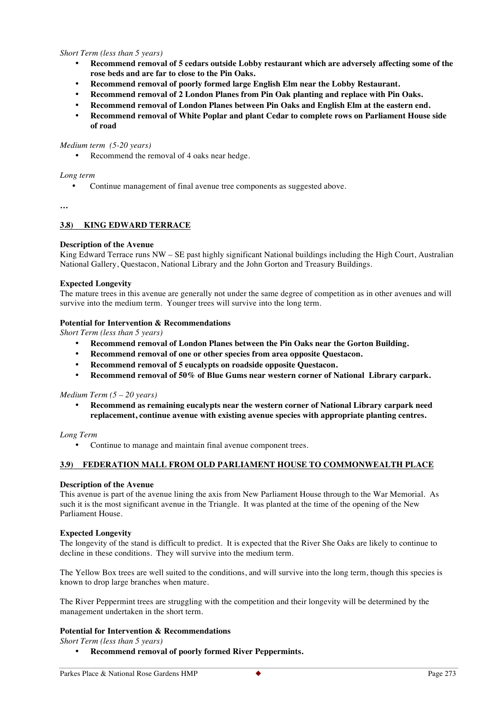## *Short Term (less than 5 years)*

- **Recommend removal of 5 cedars outside Lobby restaurant which are adversely affecting some of the rose beds and are far to close to the Pin Oaks.**
- **Recommend removal of poorly formed large English Elm near the Lobby Restaurant.**
- **Recommend removal of 2 London Planes from Pin Oak planting and replace with Pin Oaks.**
- **Recommend removal of London Planes between Pin Oaks and English Elm at the eastern end.**
- **Recommend removal of White Poplar and plant Cedar to complete rows on Parliament House side of road**

### *Medium term (5-20 years)*

Recommend the removal of 4 oaks near hedge.

### *Long term*

• Continue management of final avenue tree components as suggested above.

#### **…**

## **3.8) KING EDWARD TERRACE**

### **Description of the Avenue**

King Edward Terrace runs NW – SE past highly significant National buildings including the High Court, Australian National Gallery, Questacon, National Library and the John Gorton and Treasury Buildings.

### **Expected Longevity**

The mature trees in this avenue are generally not under the same degree of competition as in other avenues and will survive into the medium term. Younger trees will survive into the long term.

### **Potential for Intervention & Recommendations**

*Short Term (less than 5 years)*

- **Recommend removal of London Planes between the Pin Oaks near the Gorton Building.**
- **Recommend removal of one or other species from area opposite Questacon.**
- **Recommend removal of 5 eucalypts on roadside opposite Questacon.**
- **Recommend removal of 50% of Blue Gums near western corner of National Library carpark.**

### *Medium Term (5 – 20 years)*

• **Recommend as remaining eucalypts near the western corner of National Library carpark need replacement, continue avenue with existing avenue species with appropriate planting centres.**

### *Long Term*

• Continue to manage and maintain final avenue component trees.

### **3.9) FEDERATION MALL FROM OLD PARLIAMENT HOUSE TO COMMONWEALTH PLACE**

#### **Description of the Avenue**

This avenue is part of the avenue lining the axis from New Parliament House through to the War Memorial. As such it is the most significant avenue in the Triangle. It was planted at the time of the opening of the New Parliament House.

### **Expected Longevity**

The longevity of the stand is difficult to predict. It is expected that the River She Oaks are likely to continue to decline in these conditions. They will survive into the medium term.

The Yellow Box trees are well suited to the conditions, and will survive into the long term, though this species is known to drop large branches when mature.

The River Peppermint trees are struggling with the competition and their longevity will be determined by the management undertaken in the short term.

## **Potential for Intervention & Recommendations**

#### *Short Term (less than 5 years)*

• **Recommend removal of poorly formed River Peppermints.**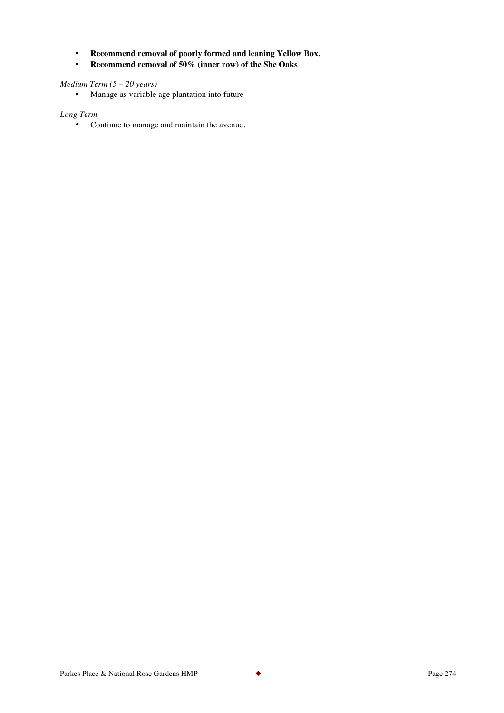- **Recommend removal of poorly formed and leaning Yellow Box.**
- **Recommend removal of 50% (inner row) of the She Oaks**

## *Medium Term (5 – 20 years)*

• Manage as variable age plantation into future

## *Long Term*

• Continue to manage and maintain the avenue.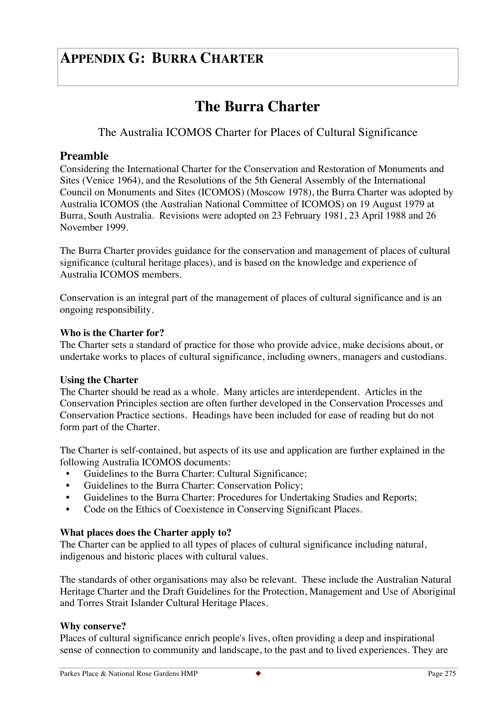# **APPENDIX G: BURRA CHARTER**

# **The Burra Charter**

The Australia ICOMOS Charter for Places of Cultural Significance

## **Preamble**

Considering the International Charter for the Conservation and Restoration of Monuments and Sites (Venice 1964), and the Resolutions of the 5th General Assembly of the International Council on Monuments and Sites (ICOMOS) (Moscow 1978), the Burra Charter was adopted by Australia ICOMOS (the Australian National Committee of ICOMOS) on 19 August 1979 at Burra, South Australia. Revisions were adopted on 23 February 1981, 23 April 1988 and 26 November 1999.

The Burra Charter provides guidance for the conservation and management of places of cultural significance (cultural heritage places), and is based on the knowledge and experience of Australia ICOMOS members.

Conservation is an integral part of the management of places of cultural significance and is an ongoing responsibility.

## **Who is the Charter for?**

The Charter sets a standard of practice for those who provide advice, make decisions about, or undertake works to places of cultural significance, including owners, managers and custodians.

## **Using the Charter**

The Charter should be read as a whole. Many articles are interdependent. Articles in the Conservation Principles section are often further developed in the Conservation Processes and Conservation Practice sections. Headings have been included for ease of reading but do not form part of the Charter.

The Charter is self-contained, but aspects of its use and application are further explained in the following Australia ICOMOS documents:

- Guidelines to the Burra Charter: Cultural Significance;
- Guidelines to the Burra Charter: Conservation Policy;
- Guidelines to the Burra Charter: Procedures for Undertaking Studies and Reports;
- Code on the Ethics of Coexistence in Conserving Significant Places.

## **What places does the Charter apply to?**

The Charter can be applied to all types of places of cultural significance including natural, indigenous and historic places with cultural values.

The standards of other organisations may also be relevant. These include the Australian Natural Heritage Charter and the Draft Guidelines for the Protection, Management and Use of Aboriginal and Torres Strait Islander Cultural Heritage Places.

## **Why conserve?**

Places of cultural significance enrich people's lives, often providing a deep and inspirational sense of connection to community and landscape, to the past and to lived experiences. They are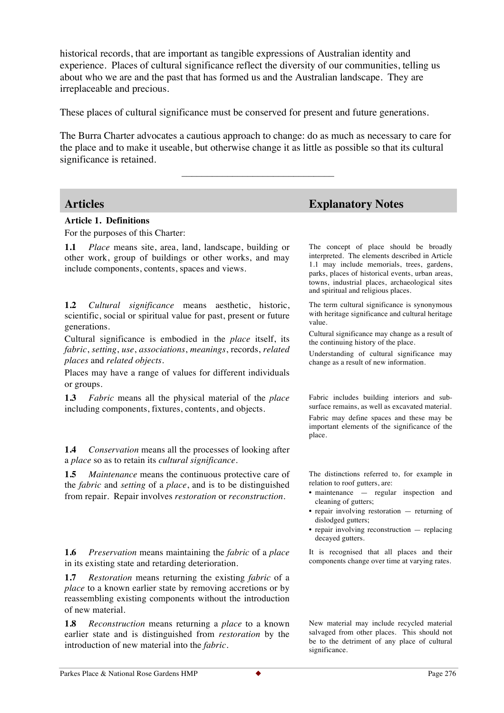historical records, that are important as tangible expressions of Australian identity and experience. Places of cultural significance reflect the diversity of our communities, telling us about who we are and the past that has formed us and the Australian landscape. They are irreplaceable and precious.

These places of cultural significance must be conserved for present and future generations*.*

The Burra Charter advocates a cautious approach to change: do as much as necessary to care for the place and to make it useable, but otherwise change it as little as possible so that its cultural significance is retained.

 $\mathcal{L}_\text{max}$ 

## **Article 1. Definitions**

For the purposes of this Charter:

**1.1** *Place* means site, area, land, landscape, building or other work, group of buildings or other works, and may include components, contents, spaces and views.

**1.2** *Cultural significance* means aesthetic, historic, scientific, social or spiritual value for past, present or future generations.

Cultural significance is embodied in the *place* itself, its *fabric*, *setting*, *use*, *associations*, *meanings*, records, *related places* and *related objects*.

Places may have a range of values for different individuals or groups.

**1.3** *Fabric* means all the physical material of the *place* including components, fixtures, contents, and objects.

**1.4** *Conservation* means all the processes of looking after a *place* so as to retain its *cultural significance*.

**1.5** *Maintenance* means the continuous protective care of the *fabric* and *setting* of a *place*, and is to be distinguished from repair. Repair involves *restoration* or *reconstruction*.

**1.6** *Preservation* means maintaining the *fabric* of a *place* in its existing state and retarding deterioration.

**1.7** *Restoration* means returning the existing *fabric* of a *place* to a known earlier state by removing accretions or by reassembling existing components without the introduction of new material.

**1.8** *Reconstruction* means returning a *place* to a known earlier state and is distinguished from *restoration* by the introduction of new material into the *fabric*.

## **Articles Explanatory Notes**

The concept of place should be broadly interpreted. The elements described in Article 1.1 may include memorials, trees, gardens, parks, places of historical events, urban areas, towns, industrial places, archaeological sites and spiritual and religious places.

The term cultural significance is synonymous with heritage significance and cultural heritage value.

Cultural significance may change as a result of the continuing history of the place.

Understanding of cultural significance may change as a result of new information.

Fabric includes building interiors and subsurface remains, as well as excavated material. Fabric may define spaces and these may be important elements of the significance of the place.

The distinctions referred to, for example in relation to roof gutters, are:

- maintenance regular inspection and cleaning of gutters;
- repair involving restoration returning of dislodged gutters;
- repair involving reconstruction replacing decayed gutters.

It is recognised that all places and their components change over time at varying rates.

New material may include recycled material salvaged from other places. This should not be to the detriment of any place of cultural significance.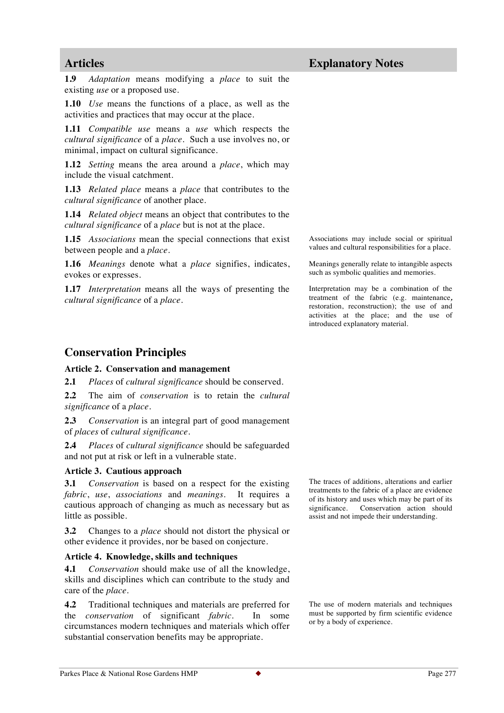**1.9** *Adaptation* means modifying a *place* to suit the existing *use* or a proposed use.

**1.10** *Use* means the functions of a place, as well as the activities and practices that may occur at the place.

**1.11** *Compatible use* means a *use* which respects the *cultural significance* of a *place*. Such a use involves no, or minimal, impact on cultural significance.

**1.12** *Setting* means the area around a *place*, which may include the visual catchment.

**1.13** *Related place* means a *place* that contributes to the *cultural significance* of another place.

**1.14** *Related object* means an object that contributes to the *cultural significance* of a *place* but is not at the place.

**1.15** *Associations* mean the special connections that exist between people and a *place*.

**1.16** *Meanings* denote what a *place* signifies, indicates, evokes or expresses.

**1.17** *Interpretation* means all the ways of presenting the *cultural significance* of a *place*.

## **Conservation Principles**

**Article 2. Conservation and management**

**2.1** *Places* of *cultural significance* should be conserved.

**2.2** The aim of *conservation* is to retain the *cultural significance* of a *place*.

**2.3** *Conservation* is an integral part of good management of *places* of *cultural significance*.

**2.4** *Places* of *cultural significance* should be safeguarded and not put at risk or left in a vulnerable state.

## **Article 3. Cautious approach**

**3.1** *Conservation* is based on a respect for the existing *fabric*, *use*, *associations* and *meanings*. It requires a cautious approach of changing as much as necessary but as little as possible.

**3.2** Changes to a *place* should not distort the physical or other evidence it provides, nor be based on conjecture.

## **Article 4. Knowledge, skills and techniques**

**4.1** *Conservation* should make use of all the knowledge, skills and disciplines which can contribute to the study and care of the *place*.

**4.2** Traditional techniques and materials are preferred for the *conservation* of significant *fabric*. In some circumstances modern techniques and materials which offer substantial conservation benefits may be appropriate.

Associations may include social or spiritual values and cultural responsibilities for a place.

Meanings generally relate to intangible aspects such as symbolic qualities and memories.

Interpretation may be a combination of the treatment of the fabric (e.g. maintenance*,*  restoration, reconstruction); the use of and activities at the place; and the use of introduced explanatory material.

The traces of additions, alterations and earlier treatments to the fabric of a place are evidence of its history and uses which may be part of its significance. Conservation action should assist and not impede their understanding.

The use of modern materials and techniques must be supported by firm scientific evidence or by a body of experience.

## **Articles Explanatory Notes**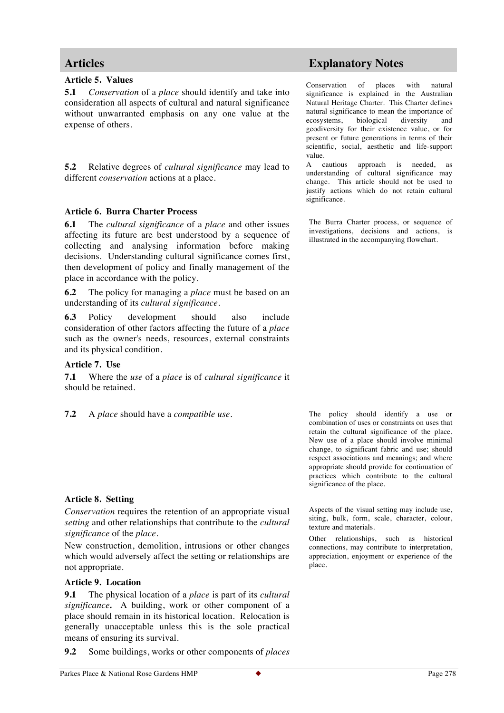## **Article 5. Values**

**5.1** *Conservation* of a *place* should identify and take into consideration all aspects of cultural and natural significance without unwarranted emphasis on any one value at the expense of others.

**5.2** Relative degrees of *cultural significance* may lead to different *conservation* actions at a place.

## **Article 6. Burra Charter Process**

**6.1** The *cultural significance* of a *place* and other issues affecting its future are best understood by a sequence of collecting and analysing information before making decisions. Understanding cultural significance comes first, then development of policy and finally management of the place in accordance with the policy.

**6.2** The policy for managing a *place* must be based on an understanding of its *cultural significance*.

**6.3** Policy development should also include consideration of other factors affecting the future of a *place* such as the owner's needs, resources, external constraints and its physical condition.

## **Article 7. Use**

**7.1** Where the *use* of a *place* is of *cultural significance* it should be retained.

**7.2** A *place* should have a *compatible use*. The policy should identify a use or

## **Article 8. Setting**

*Conservation* requires the retention of an appropriate visual *setting* and other relationships that contribute to the *cultural significance* of the *place*.

New construction, demolition, intrusions or other changes which would adversely affect the setting or relationships are not appropriate.

## **Article 9. Location**

**9.1** The physical location of a *place* is part of its *cultural significance.* A building, work or other component of a place should remain in its historical location. Relocation is generally unacceptable unless this is the sole practical means of ensuring its survival.

**9.2** Some buildings, works or other components of *places*

## **Articles Explanatory Notes**

Conservation of places with natural significance is explained in the Australian Natural Heritage Charter. This Charter defines natural significance to mean the importance of ecosystems, biological diversity and geodiversity for their existence value, or for present or future generations in terms of their scientific, social, aesthetic and life-support value.

A cautious approach is needed, as understanding of cultural significance may change. This article should not be used to justify actions which do not retain cultural significance.

The Burra Charter process, or sequence of investigations, decisions and actions, is illustrated in the accompanying flowchart.

combination of uses or constraints on uses that retain the cultural significance of the place. New use of a place should involve minimal change, to significant fabric and use; should respect associations and meanings; and where appropriate should provide for continuation of practices which contribute to the cultural significance of the place.

Aspects of the visual setting may include use, siting, bulk, form, scale, character, colour, texture and materials.

Other relationships, such as historical connections, may contribute to interpretation, appreciation, enjoyment or experience of the place.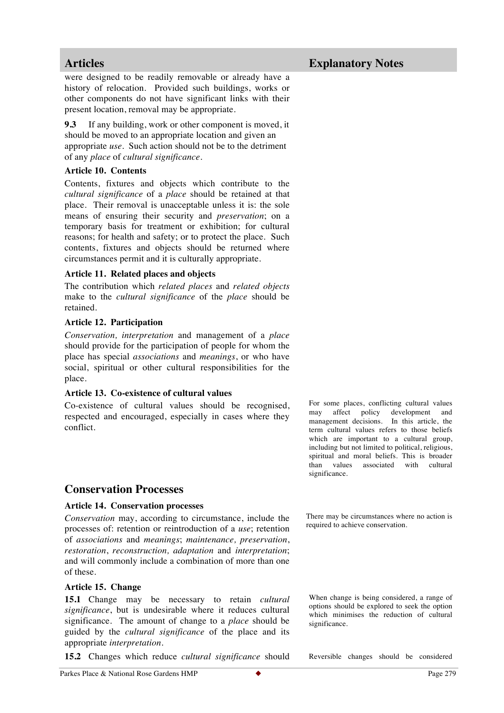were designed to be readily removable or already have a history of relocation. Provided such buildings, works or other components do not have significant links with their present location, removal may be appropriate.

**9.3** If any building, work or other component is moved, it should be moved to an appropriate location and given an appropriate *use*. Such action should not be to the detriment of any *place* of *cultural significance*.

## **Article 10. Contents**

Contents, fixtures and objects which contribute to the *cultural significance* of a *place* should be retained at that place. Their removal is unacceptable unless it is: the sole means of ensuring their security and *preservation*; on a temporary basis for treatment or exhibition; for cultural reasons; for health and safety; or to protect the place. Such contents, fixtures and objects should be returned where circumstances permit and it is culturally appropriate.

## **Article 11. Related places and objects**

The contribution which *related places* and *related objects* make to the *cultural significance* of the *place* should be retained.

## **Article 12. Participation**

*Conservation, interpretation* and management of a *place* should provide for the participation of people for whom the place has special *associations* and *meanings*, or who have social, spiritual or other cultural responsibilities for the place.

## **Article 13. Co-existence of cultural values**

Co-existence of cultural values should be recognised, respected and encouraged, especially in cases where they conflict.

## **Conservation Processes**

## **Article 14. Conservation processes**

*Conservation* may, according to circumstance, include the processes of: retention or reintroduction of a *use*; retention of *associations* and *meanings*; *maintenance, preservation*, *restoration*, *reconstruction, adaptation* and *interpretation*; and will commonly include a combination of more than one of these.

## **Article 15. Change**

**15.1** Change may be necessary to retain *cultural significance*, but is undesirable where it reduces cultural significance. The amount of change to a *place* should be guided by the *cultural significance* of the place and its appropriate *interpretation*.

**15.2** Changes which reduce *cultural significance* should Reversible changes should be considered

## **Articles Explanatory Notes**

For some places, conflicting cultural values may affect policy development and management decisions. In this article, the term cultural values refers to those beliefs which are important to a cultural group, including but not limited to political, religious, spiritual and moral beliefs. This is broader than values associated with cultural significance.

There may be circumstances where no action is required to achieve conservation.

When change is being considered, a range of options should be explored to seek the option which minimises the reduction of cultural significance.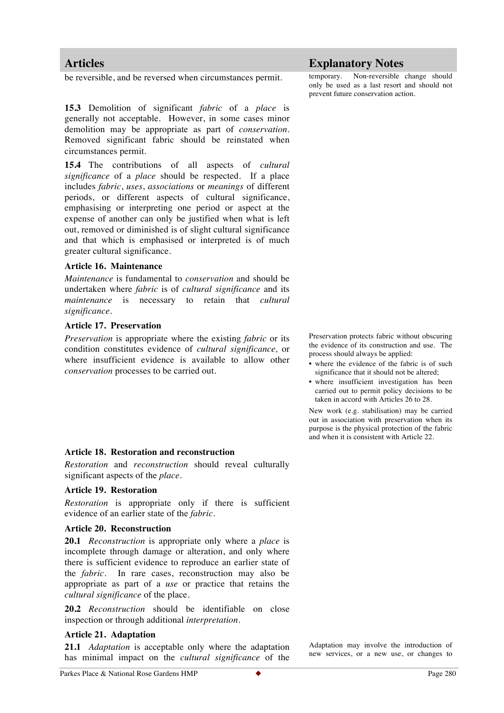be reversible, and be reversed when circumstances permit. temporary. Non-reversible change should

**15.3** Demolition of significant *fabric* of a *place* is generally not acceptable. However, in some cases minor demolition may be appropriate as part of *conservation*. Removed significant fabric should be reinstated when circumstances permit.

**15.4** The contributions of all aspects of *cultural significance* of a *place* should be respected. If a place includes *fabric*, *uses*, *associations* or *meanings* of different periods, or different aspects of cultural significance, emphasising or interpreting one period or aspect at the expense of another can only be justified when what is left out, removed or diminished is of slight cultural significance and that which is emphasised or interpreted is of much greater cultural significance.

## **Article 16. Maintenance**

*Maintenance* is fundamental to *conservation* and should be undertaken where *fabric* is of *cultural significance* and its *maintenance* is necessary to retain that *cultural significance*.

## **Article 17. Preservation**

*Preservation* is appropriate where the existing *fabric* or its condition constitutes evidence of *cultural significance,* or where insufficient evidence is available to allow other *conservation* processes to be carried out.

## **Article 18. Restoration and reconstruction**

*Restoration* and *reconstruction* should reveal culturally significant aspects of the *place*.

### **Article 19. Restoration**

*Restoration* is appropriate only if there is sufficient evidence of an earlier state of the *fabric*.

### **Article 20. Reconstruction**

**20.1** *Reconstruction* is appropriate only where a *place* is incomplete through damage or alteration, and only where there is sufficient evidence to reproduce an earlier state of the *fabric*. In rare cases, reconstruction may also be appropriate as part of a *use* or practice that retains the *cultural significance* of the place.

**20.2** *Reconstruction* should be identifiable on close inspection or through additional *interpretation*.

## **Article 21. Adaptation**

**21.1** *Adaptation* is acceptable only where the adaptation has minimal impact on the *cultural significance* of the

## **Articles Explanatory Notes**

only be used as a last resort and should not prevent future conservation action.

Preservation protects fabric without obscuring the evidence of its construction and use. The process should always be applied:

- where the evidence of the fabric is of such significance that it should not be altered;
- where insufficient investigation has been carried out to permit policy decisions to be taken in accord with Articles 26 to 28.

New work (e.g. stabilisation) may be carried out in association with preservation when its purpose is the physical protection of the fabric and when it is consistent with Article 22.

Adaptation may involve the introduction of new services, or a new use, or changes to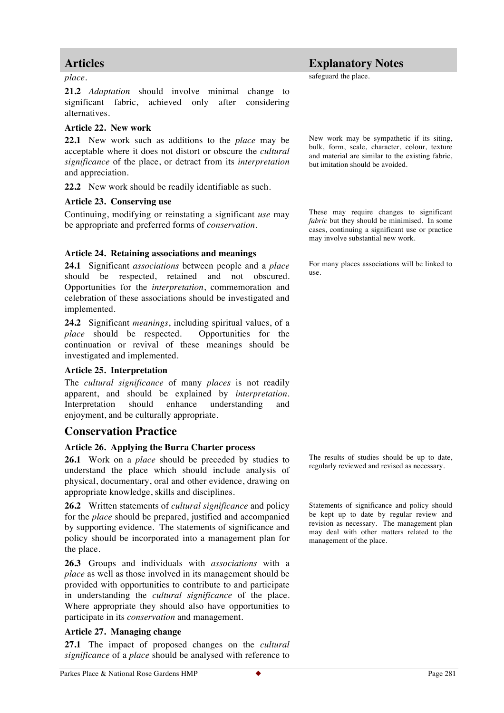**21.2** *Adaptation* should involve minimal change to significant fabric, achieved only after considering alternatives.

## **Article 22. New work**

**22.1** New work such as additions to the *place* may be acceptable where it does not distort or obscure the *cultural significance* of the place, or detract from its *interpretation* and appreciation.

**22.2** New work should be readily identifiable as such.

## **Article 23. Conserving use**

Continuing, modifying or reinstating a significant *use* may be appropriate and preferred forms of *conservation*.

## **Article 24. Retaining associations and meanings**

**24.1** Significant *associations* between people and a *place* should be respected, retained and not obscured. Opportunities for the *interpretation*, commemoration and celebration of these associations should be investigated and implemented.

**24.2** Significant *meanings*, including spiritual values, of a *place* should be respected. Opportunities for the continuation or revival of these meanings should be investigated and implemented.

## **Article 25. Interpretation**

The *cultural significance* of many *places* is not readily apparent, and should be explained by *interpretation*. Interpretation should enhance understanding and enjoyment, and be culturally appropriate.

## **Conservation Practice**

## **Article 26. Applying the Burra Charter process**

**26.1** Work on a *place* should be preceded by studies to understand the place which should include analysis of physical, documentary, oral and other evidence, drawing on appropriate knowledge, skills and disciplines.

**26.2** Written statements of *cultural significance* and policy for the *place* should be prepared, justified and accompanied by supporting evidence. The statements of significance and policy should be incorporated into a management plan for the place.

**26.3** Groups and individuals with *associations* with a *place* as well as those involved in its management should be provided with opportunities to contribute to and participate in understanding the *cultural significance* of the place. Where appropriate they should also have opportunities to participate in its *conservation* and management.

## **Article 27. Managing change**

**27.1** The impact of proposed changes on the *cultural significance* of a *place* should be analysed with reference to

## **Articles Explanatory Notes**

*place*.

New work may be sympathetic if its siting, bulk, form, scale, character, colour, texture and material are similar to the existing fabric, but imitation should be avoided.

These may require changes to significant *fabric* but they should be minimised. In some cases, continuing a significant use or practice may involve substantial new work.

For many places associations will be linked to use.

The results of studies should be up to date, regularly reviewed and revised as necessary.

Statements of significance and policy should be kept up to date by regular review and revision as necessary. The management plan may deal with other matters related to the management of the place.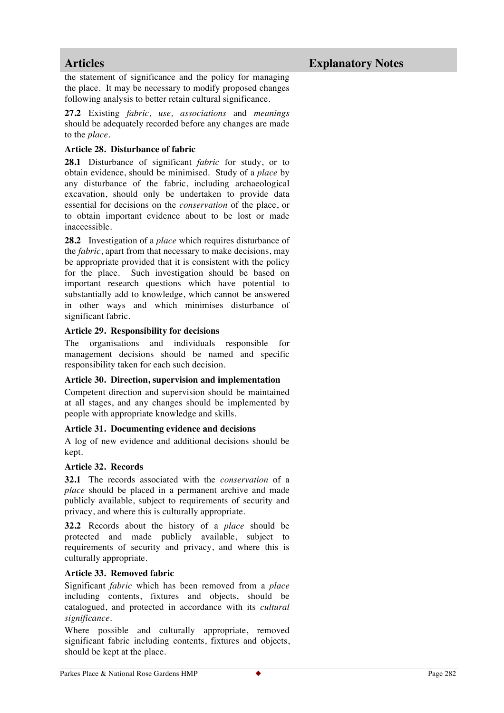the statement of significance and the policy for managing the place. It may be necessary to modify proposed changes following analysis to better retain cultural significance.

**27.2** Existing *fabric, use, associations* and *meanings* should be adequately recorded before any changes are made to the *place*.

## **Article 28. Disturbance of fabric**

**28.1** Disturbance of significant *fabric* for study, or to obtain evidence, should be minimised. Study of a *place* by any disturbance of the fabric, including archaeological excavation, should only be undertaken to provide data essential for decisions on the *conservation* of the place, or to obtain important evidence about to be lost or made inaccessible.

**28.2** Investigation of a *place* which requires disturbance of the *fabric*, apart from that necessary to make decisions, may be appropriate provided that it is consistent with the policy for the place. Such investigation should be based on important research questions which have potential to substantially add to knowledge, which cannot be answered in other ways and which minimises disturbance of significant fabric.

## **Article 29. Responsibility for decisions**

The organisations and individuals responsible for management decisions should be named and specific responsibility taken for each such decision.

## **Article 30. Direction, supervision and implementation**

Competent direction and supervision should be maintained at all stages, and any changes should be implemented by people with appropriate knowledge and skills.

## **Article 31. Documenting evidence and decisions**

A log of new evidence and additional decisions should be kept.

## **Article 32. Records**

**32.1** The records associated with the *conservation* of a *place* should be placed in a permanent archive and made publicly available, subject to requirements of security and privacy, and where this is culturally appropriate.

**32.2** Records about the history of a *place* should be protected and made publicly available, subject to requirements of security and privacy, and where this is culturally appropriate.

## **Article 33. Removed fabric**

Significant *fabric* which has been removed from a *place* including contents, fixtures and objects, should be catalogued, and protected in accordance with its *cultural significance*.

Where possible and culturally appropriate, removed significant fabric including contents, fixtures and objects, should be kept at the place.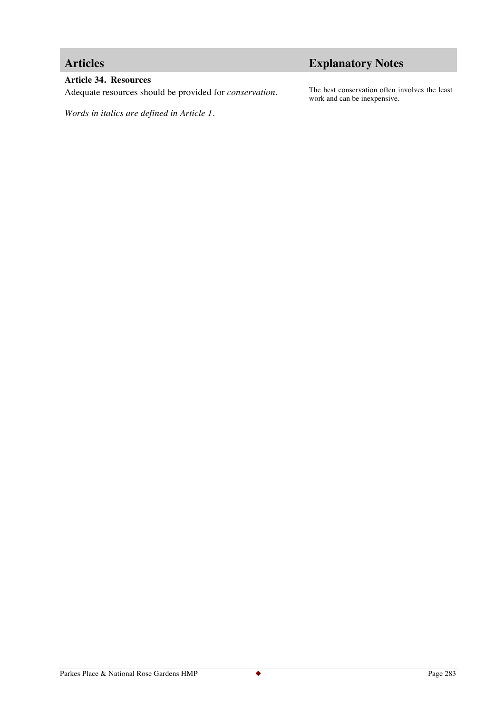## **Article 34. Resources**

Adequate resources should be provided for *conservation*. The best conservation often involves the least

*Words in italics are defined in Article 1.*

# **Articles Explanatory Notes**

work and can be inexpensive.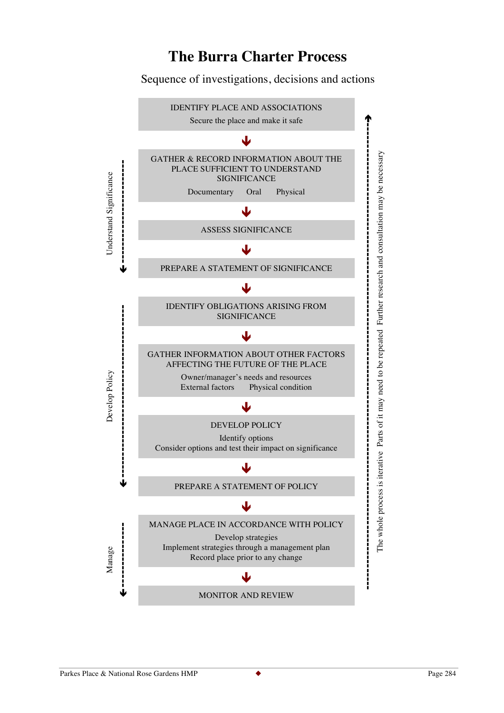# **The Burra Charter Process**

## Sequence of investigations, decisions and actions

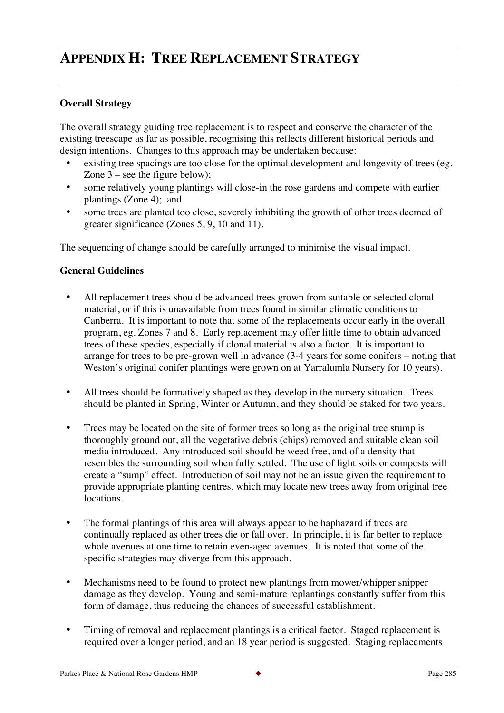# **APPENDIX H: TREE REPLACEMENT STRATEGY**

## **Overall Strategy**

The overall strategy guiding tree replacement is to respect and conserve the character of the existing treescape as far as possible, recognising this reflects different historical periods and design intentions. Changes to this approach may be undertaken because:

- existing tree spacings are too close for the optimal development and longevity of trees (eg. Zone  $3$  – see the figure below);
- some relatively young plantings will close-in the rose gardens and compete with earlier plantings (Zone 4); and
- some trees are planted too close, severely inhibiting the growth of other trees deemed of greater significance (Zones 5, 9, 10 and 11).

The sequencing of change should be carefully arranged to minimise the visual impact.

## **General Guidelines**

- All replacement trees should be advanced trees grown from suitable or selected clonal material, or if this is unavailable from trees found in similar climatic conditions to Canberra. It is important to note that some of the replacements occur early in the overall program, eg. Zones 7 and 8. Early replacement may offer little time to obtain advanced trees of these species, especially if clonal material is also a factor. It is important to arrange for trees to be pre-grown well in advance (3-4 years for some conifers – noting that Weston's original conifer plantings were grown on at Yarralumla Nursery for 10 years).
- All trees should be formatively shaped as they develop in the nursery situation. Trees should be planted in Spring, Winter or Autumn, and they should be staked for two years.
- Trees may be located on the site of former trees so long as the original tree stump is thoroughly ground out, all the vegetative debris (chips) removed and suitable clean soil media introduced. Any introduced soil should be weed free, and of a density that resembles the surrounding soil when fully settled. The use of light soils or composts will create a "sump" effect. Introduction of soil may not be an issue given the requirement to provide appropriate planting centres, which may locate new trees away from original tree locations.
- The formal plantings of this area will always appear to be haphazard if trees are continually replaced as other trees die or fall over. In principle, it is far better to replace whole avenues at one time to retain even-aged avenues. It is noted that some of the specific strategies may diverge from this approach.
- Mechanisms need to be found to protect new plantings from mower/whipper snipper damage as they develop. Young and semi-mature replantings constantly suffer from this form of damage, thus reducing the chances of successful establishment.
- Timing of removal and replacement plantings is a critical factor. Staged replacement is required over a longer period, and an 18 year period is suggested. Staging replacements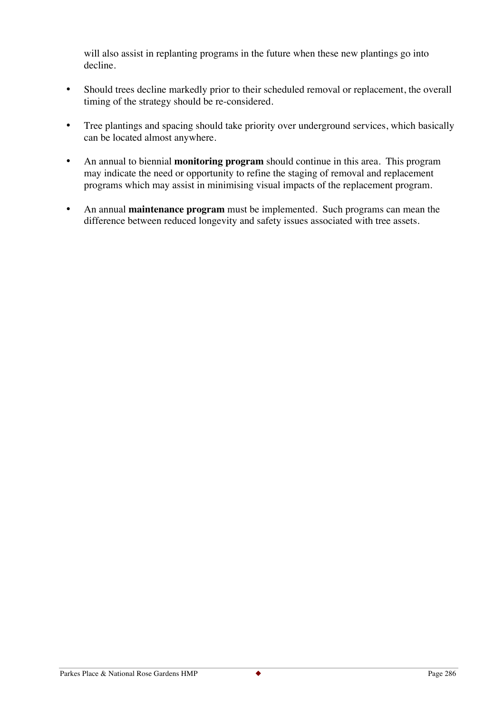will also assist in replanting programs in the future when these new plantings go into decline.

- Should trees decline markedly prior to their scheduled removal or replacement, the overall timing of the strategy should be re-considered.
- Tree plantings and spacing should take priority over underground services, which basically can be located almost anywhere.
- An annual to biennial **monitoring program** should continue in this area. This program may indicate the need or opportunity to refine the staging of removal and replacement programs which may assist in minimising visual impacts of the replacement program.
- An annual **maintenance program** must be implemented. Such programs can mean the difference between reduced longevity and safety issues associated with tree assets.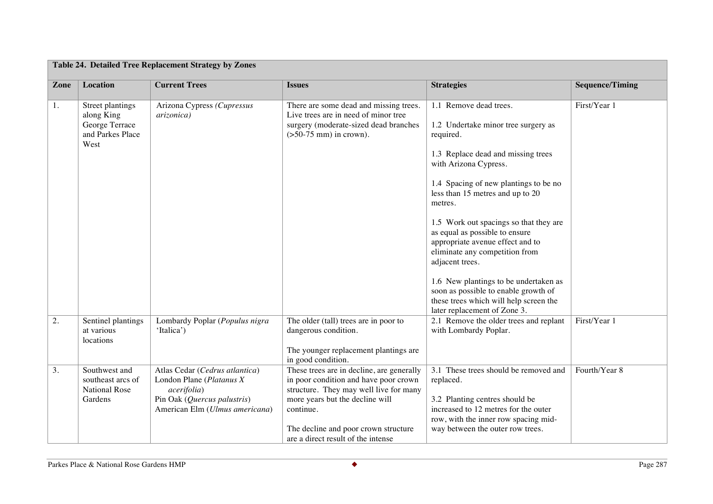| Table 24. Detailed Tree Replacement Strategy by Zones |                                                                              |                                                                                                                                            |                                                                                                                                                                                                                                                            |                                                                                                                                                                                                                                                                                                                              |                        |
|-------------------------------------------------------|------------------------------------------------------------------------------|--------------------------------------------------------------------------------------------------------------------------------------------|------------------------------------------------------------------------------------------------------------------------------------------------------------------------------------------------------------------------------------------------------------|------------------------------------------------------------------------------------------------------------------------------------------------------------------------------------------------------------------------------------------------------------------------------------------------------------------------------|------------------------|
| Zone                                                  | <b>Location</b>                                                              | <b>Current Trees</b>                                                                                                                       | <b>Issues</b>                                                                                                                                                                                                                                              | <b>Strategies</b>                                                                                                                                                                                                                                                                                                            | <b>Sequence/Timing</b> |
| 1.                                                    | Street plantings<br>along King<br>George Terrace<br>and Parkes Place<br>West | Arizona Cypress (Cupressus<br>arizonica)                                                                                                   | There are some dead and missing trees.<br>Live trees are in need of minor tree<br>surgery (moderate-sized dead branches<br>$($ >50-75 mm) in crown).                                                                                                       | 1.1 Remove dead trees.<br>First/Year 1<br>1.2 Undertake minor tree surgery as<br>required.<br>1.3 Replace dead and missing trees<br>with Arizona Cypress.<br>1.4 Spacing of new plantings to be no<br>less than 15 metres and up to 20<br>metres.                                                                            |                        |
|                                                       |                                                                              |                                                                                                                                            |                                                                                                                                                                                                                                                            | 1.5 Work out spacings so that they are<br>as equal as possible to ensure<br>appropriate avenue effect and to<br>eliminate any competition from<br>adjacent trees.<br>1.6 New plantings to be undertaken as<br>soon as possible to enable growth of<br>these trees which will help screen the<br>later replacement of Zone 3. |                        |
| 2.                                                    | Sentinel plantings<br>at various<br>locations                                | Lombardy Poplar (Populus nigra<br>'Italica')                                                                                               | The older (tall) trees are in poor to<br>dangerous condition.<br>The younger replacement plantings are<br>in good condition.                                                                                                                               | 2.1 Remove the older trees and replant<br>with Lombardy Poplar.                                                                                                                                                                                                                                                              | First/Year 1           |
| 3.                                                    | Southwest and<br>southeast arcs of<br><b>National Rose</b><br>Gardens        | Atlas Cedar (Cedrus atlantica)<br>London Plane (Platanus X<br>acerifolia)<br>Pin Oak (Quercus palustris)<br>American Elm (Ulmus americana) | These trees are in decline, are generally<br>in poor condition and have poor crown<br>structure. They may well live for many<br>more years but the decline will<br>continue.<br>The decline and poor crown structure<br>are a direct result of the intense | 3.1 These trees should be removed and<br>replaced.<br>3.2 Planting centres should be<br>increased to 12 metres for the outer<br>row, with the inner row spacing mid-<br>way between the outer row trees.                                                                                                                     | Fourth/Year 8          |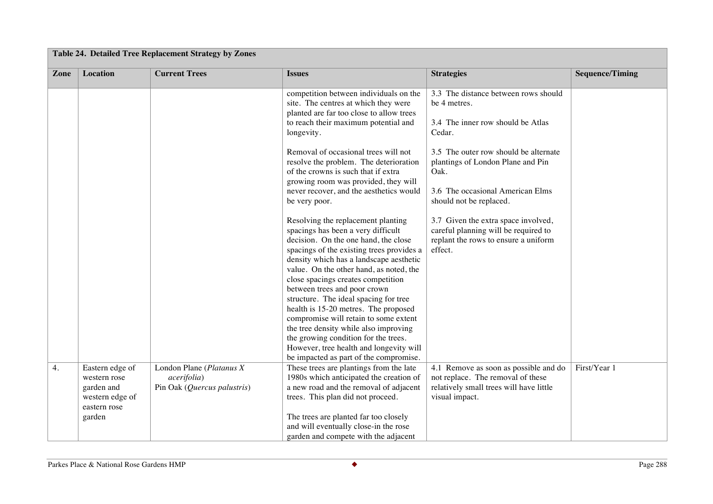| Table 24. Detailed Tree Replacement Strategy by Zones |                                                                                            |                                                                        |                                                                                                                                                                                                                                                                                                                                                                                                                                                                                                                                                                                                                           |                                                                                                                                              |                        |
|-------------------------------------------------------|--------------------------------------------------------------------------------------------|------------------------------------------------------------------------|---------------------------------------------------------------------------------------------------------------------------------------------------------------------------------------------------------------------------------------------------------------------------------------------------------------------------------------------------------------------------------------------------------------------------------------------------------------------------------------------------------------------------------------------------------------------------------------------------------------------------|----------------------------------------------------------------------------------------------------------------------------------------------|------------------------|
| Zone                                                  | <b>Location</b>                                                                            | <b>Current Trees</b>                                                   | <b>Issues</b>                                                                                                                                                                                                                                                                                                                                                                                                                                                                                                                                                                                                             | <b>Strategies</b>                                                                                                                            | <b>Sequence/Timing</b> |
|                                                       |                                                                                            |                                                                        | competition between individuals on the<br>site. The centres at which they were<br>planted are far too close to allow trees<br>to reach their maximum potential and<br>longevity.<br>Removal of occasional trees will not                                                                                                                                                                                                                                                                                                                                                                                                  | 3.3 The distance between rows should<br>be 4 metres.<br>3.4 The inner row should be Atlas<br>Cedar.<br>3.5 The outer row should be alternate |                        |
|                                                       |                                                                                            |                                                                        | resolve the problem. The deterioration<br>of the crowns is such that if extra<br>growing room was provided, they will                                                                                                                                                                                                                                                                                                                                                                                                                                                                                                     | plantings of London Plane and Pin<br>Oak.                                                                                                    |                        |
|                                                       |                                                                                            |                                                                        | never recover, and the aesthetics would<br>be very poor.                                                                                                                                                                                                                                                                                                                                                                                                                                                                                                                                                                  | 3.6 The occasional American Elms<br>should not be replaced.                                                                                  |                        |
|                                                       |                                                                                            |                                                                        | Resolving the replacement planting<br>spacings has been a very difficult<br>decision. On the one hand, the close<br>spacings of the existing trees provides a<br>density which has a landscape aesthetic<br>value. On the other hand, as noted, the<br>close spacings creates competition<br>between trees and poor crown<br>structure. The ideal spacing for tree<br>health is 15-20 metres. The proposed<br>compromise will retain to some extent<br>the tree density while also improving<br>the growing condition for the trees.<br>However, tree health and longevity will<br>be impacted as part of the compromise. | 3.7 Given the extra space involved,<br>careful planning will be required to<br>replant the rows to ensure a uniform<br>effect.               | First/Year 1           |
| 4.                                                    | Eastern edge of<br>western rose<br>garden and<br>western edge of<br>eastern rose<br>garden | London Plane (Platanus X<br>acerifolia)<br>Pin Oak (Quercus palustris) | These trees are plantings from the late<br>1980s which anticipated the creation of<br>a new road and the removal of adjacent<br>trees. This plan did not proceed.<br>The trees are planted far too closely<br>and will eventually close-in the rose<br>garden and compete with the adjacent                                                                                                                                                                                                                                                                                                                               | 4.1 Remove as soon as possible and do<br>not replace. The removal of these<br>relatively small trees will have little<br>visual impact.      |                        |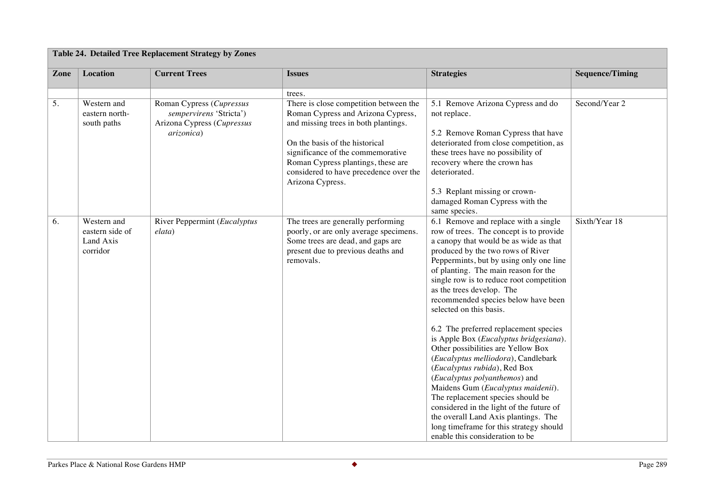| Table 24. Detailed Tree Replacement Strategy by Zones |                                                         |                                                                                                 |                                                                                                                                                                                                                                                                                                 |                                                                                                                                                                                                                                                                                                                                                                                                                                                                                                                                                                                                                                                                                                                                                                                                                                                                            |                        |
|-------------------------------------------------------|---------------------------------------------------------|-------------------------------------------------------------------------------------------------|-------------------------------------------------------------------------------------------------------------------------------------------------------------------------------------------------------------------------------------------------------------------------------------------------|----------------------------------------------------------------------------------------------------------------------------------------------------------------------------------------------------------------------------------------------------------------------------------------------------------------------------------------------------------------------------------------------------------------------------------------------------------------------------------------------------------------------------------------------------------------------------------------------------------------------------------------------------------------------------------------------------------------------------------------------------------------------------------------------------------------------------------------------------------------------------|------------------------|
| Zone                                                  | Location                                                | <b>Current Trees</b>                                                                            | <b>Issues</b>                                                                                                                                                                                                                                                                                   | <b>Strategies</b>                                                                                                                                                                                                                                                                                                                                                                                                                                                                                                                                                                                                                                                                                                                                                                                                                                                          | <b>Sequence/Timing</b> |
|                                                       |                                                         |                                                                                                 | trees.                                                                                                                                                                                                                                                                                          |                                                                                                                                                                                                                                                                                                                                                                                                                                                                                                                                                                                                                                                                                                                                                                                                                                                                            |                        |
| 5.                                                    | Western and<br>eastern north-<br>south paths            | Roman Cypress (Cupressus<br>sempervirens 'Stricta')<br>Arizona Cypress (Cupressus<br>arizonica) | There is close competition between the<br>Roman Cypress and Arizona Cypress,<br>and missing trees in both plantings.<br>On the basis of the historical<br>significance of the commemorative<br>Roman Cypress plantings, these are<br>considered to have precedence over the<br>Arizona Cypress. | 5.1 Remove Arizona Cypress and do<br>not replace.<br>5.2 Remove Roman Cypress that have<br>deteriorated from close competition, as<br>these trees have no possibility of<br>recovery where the crown has<br>deteriorated.<br>5.3 Replant missing or crown-<br>damaged Roman Cypress with the<br>same species.                                                                                                                                                                                                                                                                                                                                                                                                                                                                                                                                                              | Second/Year 2          |
| 6.                                                    | Western and<br>eastern side of<br>Land Axis<br>corridor | River Peppermint (Eucalyptus<br>elata)                                                          | The trees are generally performing<br>poorly, or are only average specimens.<br>Some trees are dead, and gaps are<br>present due to previous deaths and<br>removals.                                                                                                                            | 6.1 Remove and replace with a single<br>row of trees. The concept is to provide<br>a canopy that would be as wide as that<br>produced by the two rows of River<br>Peppermints, but by using only one line<br>of planting. The main reason for the<br>single row is to reduce root competition<br>as the trees develop. The<br>recommended species below have been<br>selected on this basis.<br>6.2 The preferred replacement species<br>is Apple Box (Eucalyptus bridgesiana).<br>Other possibilities are Yellow Box<br>(Eucalyptus melliodora), Candlebark<br>(Eucalyptus rubida), Red Box<br>(Eucalyptus polyanthemos) and<br>Maidens Gum (Eucalyptus maidenii).<br>The replacement species should be<br>considered in the light of the future of<br>the overall Land Axis plantings. The<br>long timeframe for this strategy should<br>enable this consideration to be | Sixth/Year 18          |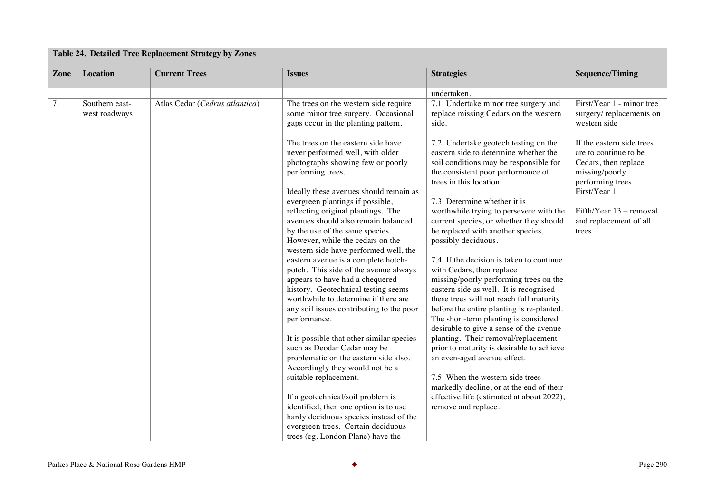|      | Table 24. Detailed Tree Replacement Strategy by Zones |                                |                                                                                                                                                                                                                                                                                                                                                                                                                                                                                                                                                                                                                                                                                                                                                                                                                                                                                                                                                                                                                                                               |                                                                                                                                                                                                                                                                                                                                                                                                                                                                                                                                                                                                                                                                                                                                                                                                                                                                                                                                                                                           |                                                                                                                                                                                                |  |
|------|-------------------------------------------------------|--------------------------------|---------------------------------------------------------------------------------------------------------------------------------------------------------------------------------------------------------------------------------------------------------------------------------------------------------------------------------------------------------------------------------------------------------------------------------------------------------------------------------------------------------------------------------------------------------------------------------------------------------------------------------------------------------------------------------------------------------------------------------------------------------------------------------------------------------------------------------------------------------------------------------------------------------------------------------------------------------------------------------------------------------------------------------------------------------------|-------------------------------------------------------------------------------------------------------------------------------------------------------------------------------------------------------------------------------------------------------------------------------------------------------------------------------------------------------------------------------------------------------------------------------------------------------------------------------------------------------------------------------------------------------------------------------------------------------------------------------------------------------------------------------------------------------------------------------------------------------------------------------------------------------------------------------------------------------------------------------------------------------------------------------------------------------------------------------------------|------------------------------------------------------------------------------------------------------------------------------------------------------------------------------------------------|--|
| Zone | Location                                              | <b>Current Trees</b>           | <b>Issues</b>                                                                                                                                                                                                                                                                                                                                                                                                                                                                                                                                                                                                                                                                                                                                                                                                                                                                                                                                                                                                                                                 | <b>Strategies</b>                                                                                                                                                                                                                                                                                                                                                                                                                                                                                                                                                                                                                                                                                                                                                                                                                                                                                                                                                                         | <b>Sequence/Timing</b>                                                                                                                                                                         |  |
|      |                                                       |                                |                                                                                                                                                                                                                                                                                                                                                                                                                                                                                                                                                                                                                                                                                                                                                                                                                                                                                                                                                                                                                                                               | undertaken.                                                                                                                                                                                                                                                                                                                                                                                                                                                                                                                                                                                                                                                                                                                                                                                                                                                                                                                                                                               |                                                                                                                                                                                                |  |
| 7.   | Southern east-<br>west roadways                       | Atlas Cedar (Cedrus atlantica) | The trees on the western side require<br>some minor tree surgery. Occasional<br>gaps occur in the planting pattern.                                                                                                                                                                                                                                                                                                                                                                                                                                                                                                                                                                                                                                                                                                                                                                                                                                                                                                                                           | 7.1 Undertake minor tree surgery and<br>replace missing Cedars on the western<br>side.                                                                                                                                                                                                                                                                                                                                                                                                                                                                                                                                                                                                                                                                                                                                                                                                                                                                                                    | First/Year 1 - minor tree<br>surgery/replacements on<br>western side                                                                                                                           |  |
|      |                                                       |                                | The trees on the eastern side have<br>never performed well, with older<br>photographs showing few or poorly<br>performing trees.<br>Ideally these avenues should remain as<br>evergreen plantings if possible,<br>reflecting original plantings. The<br>avenues should also remain balanced<br>by the use of the same species.<br>However, while the cedars on the<br>western side have performed well, the<br>eastern avenue is a complete hotch-<br>potch. This side of the avenue always<br>appears to have had a chequered<br>history. Geotechnical testing seems<br>worthwhile to determine if there are<br>any soil issues contributing to the poor<br>performance.<br>It is possible that other similar species<br>such as Deodar Cedar may be<br>problematic on the eastern side also.<br>Accordingly they would not be a<br>suitable replacement.<br>If a geotechnical/soil problem is<br>identified, then one option is to use<br>hardy deciduous species instead of the<br>evergreen trees. Certain deciduous<br>trees (eg. London Plane) have the | 7.2 Undertake geotech testing on the<br>eastern side to determine whether the<br>soil conditions may be responsible for<br>the consistent poor performance of<br>trees in this location.<br>7.3 Determine whether it is<br>worthwhile trying to persevere with the<br>current species, or whether they should<br>be replaced with another species,<br>possibly deciduous.<br>7.4 If the decision is taken to continue<br>with Cedars, then replace<br>missing/poorly performing trees on the<br>eastern side as well. It is recognised<br>these trees will not reach full maturity<br>before the entire planting is re-planted.<br>The short-term planting is considered<br>desirable to give a sense of the avenue<br>planting. Their removal/replacement<br>prior to maturity is desirable to achieve<br>an even-aged avenue effect.<br>7.5 When the western side trees<br>markedly decline, or at the end of their<br>effective life (estimated at about 2022),<br>remove and replace. | If the eastern side trees<br>are to continue to be<br>Cedars, then replace<br>missing/poorly<br>performing trees<br>First/Year 1<br>Fifth/Year 13 - removal<br>and replacement of all<br>trees |  |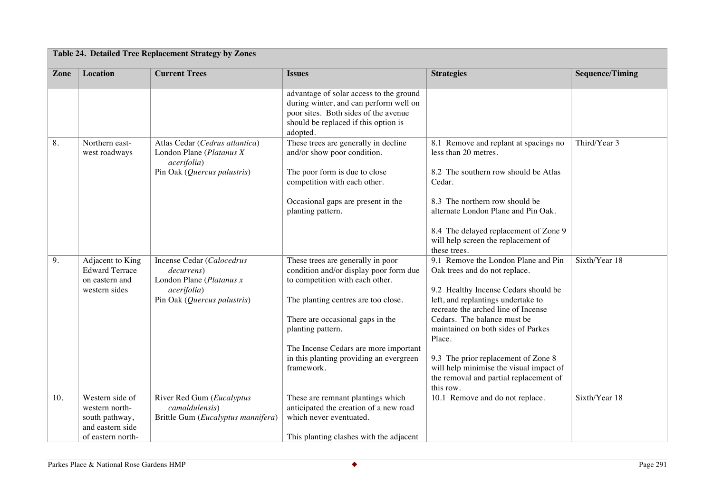| Table 24. Detailed Tree Replacement Strategy by Zones |                                                             |                                                                                   |                                                                                                                                                                               |                                                                                                                                       |                        |
|-------------------------------------------------------|-------------------------------------------------------------|-----------------------------------------------------------------------------------|-------------------------------------------------------------------------------------------------------------------------------------------------------------------------------|---------------------------------------------------------------------------------------------------------------------------------------|------------------------|
| Zone                                                  | <b>Location</b>                                             | <b>Current Trees</b>                                                              | <b>Issues</b>                                                                                                                                                                 | <b>Strategies</b>                                                                                                                     | <b>Sequence/Timing</b> |
|                                                       |                                                             |                                                                                   | advantage of solar access to the ground<br>during winter, and can perform well on<br>poor sites. Both sides of the avenue<br>should be replaced if this option is<br>adopted. |                                                                                                                                       |                        |
| 8.                                                    | Northern east-<br>west roadways                             | Atlas Cedar (Cedrus atlantica)<br>London Plane (Platanus X<br>acerifolia)         | These trees are generally in decline<br>and/or show poor condition.                                                                                                           | 8.1 Remove and replant at spacings no<br>less than 20 metres.                                                                         | Third/Year 3           |
|                                                       |                                                             | Pin Oak (Quercus palustris)                                                       | The poor form is due to close<br>competition with each other.                                                                                                                 | 8.2 The southern row should be Atlas<br>Cedar.                                                                                        |                        |
|                                                       |                                                             |                                                                                   | Occasional gaps are present in the<br>planting pattern.                                                                                                                       | 8.3 The northern row should be<br>alternate London Plane and Pin Oak.                                                                 |                        |
|                                                       |                                                             |                                                                                   |                                                                                                                                                                               | 8.4 The delayed replacement of Zone 9<br>will help screen the replacement of<br>these trees.                                          |                        |
| 9.                                                    | Adjacent to King<br><b>Edward Terrace</b><br>on eastern and | Incense Cedar (Calocedrus<br>decurrens)<br>London Plane ( $Platanus x$            | These trees are generally in poor<br>condition and/or display poor form due<br>to competition with each other.                                                                | 9.1 Remove the London Plane and Pin<br>Oak trees and do not replace.                                                                  | Sixth/Year 18          |
|                                                       | western sides                                               | acerifolia)<br>Pin Oak (Quercus palustris)                                        | The planting centres are too close.                                                                                                                                           | 9.2 Healthy Incense Cedars should be<br>left, and replantings undertake to<br>recreate the arched line of Incense                     |                        |
|                                                       |                                                             |                                                                                   | There are occasional gaps in the<br>planting pattern.                                                                                                                         | Cedars. The balance must be<br>maintained on both sides of Parkes<br>Place.                                                           |                        |
|                                                       |                                                             |                                                                                   | The Incense Cedars are more important<br>in this planting providing an evergreen<br>framework.                                                                                | 9.3 The prior replacement of Zone 8<br>will help minimise the visual impact of<br>the removal and partial replacement of<br>this row. |                        |
| 10.                                                   | Western side of<br>western north-<br>south pathway,         | River Red Gum (Eucalyptus<br>camaldulensis)<br>Brittle Gum (Eucalyptus mannifera) | These are remnant plantings which<br>anticipated the creation of a new road<br>which never eventuated.                                                                        | 10.1 Remove and do not replace.                                                                                                       | Sixth/Year 18          |
|                                                       | and eastern side<br>of eastern north-                       |                                                                                   | This planting clashes with the adjacent                                                                                                                                       |                                                                                                                                       |                        |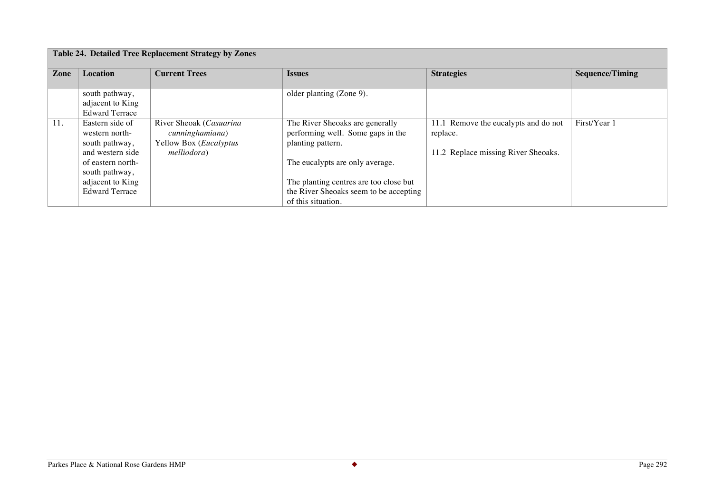| Table 24. Detailed Tree Replacement Strategy by Zones |                                                                                                                                                             |                                                                                             |                                                                                                                                                                                                                                        |                                                                                         |                        |  |
|-------------------------------------------------------|-------------------------------------------------------------------------------------------------------------------------------------------------------------|---------------------------------------------------------------------------------------------|----------------------------------------------------------------------------------------------------------------------------------------------------------------------------------------------------------------------------------------|-----------------------------------------------------------------------------------------|------------------------|--|
| Zone                                                  | Location                                                                                                                                                    | <b>Current Trees</b>                                                                        | <b>Issues</b>                                                                                                                                                                                                                          | <b>Strategies</b>                                                                       | <b>Sequence/Timing</b> |  |
|                                                       | south pathway,<br>adjacent to King<br><b>Edward Terrace</b>                                                                                                 |                                                                                             | older planting (Zone 9).                                                                                                                                                                                                               |                                                                                         |                        |  |
| 11.                                                   | Eastern side of<br>western north-<br>south pathway,<br>and western side<br>of eastern north-<br>south pathway,<br>adjacent to King<br><b>Edward Terrace</b> | River Sheoak (Casuarina<br>cunninghamiana)<br>Yellow Box ( <i>Eucalyptus</i><br>melliodora) | The River Sheoaks are generally<br>performing well. Some gaps in the<br>planting pattern.<br>The eucalypts are only average.<br>The planting centres are too close but<br>the River Sheoaks seem to be accepting<br>of this situation. | 11.1 Remove the eucalypts and do not<br>replace.<br>11.2 Replace missing River Sheoaks. | First/Year 1           |  |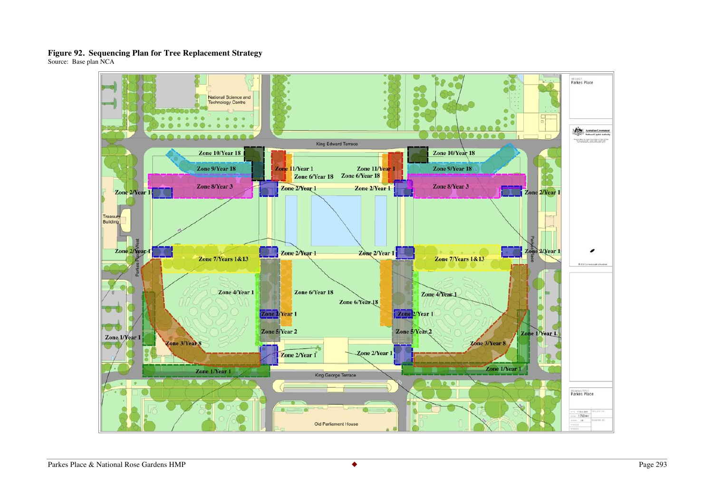## **Figure 92. Sequencing Plan for Tree Replacement Strategy**

Source: Base plan NCA

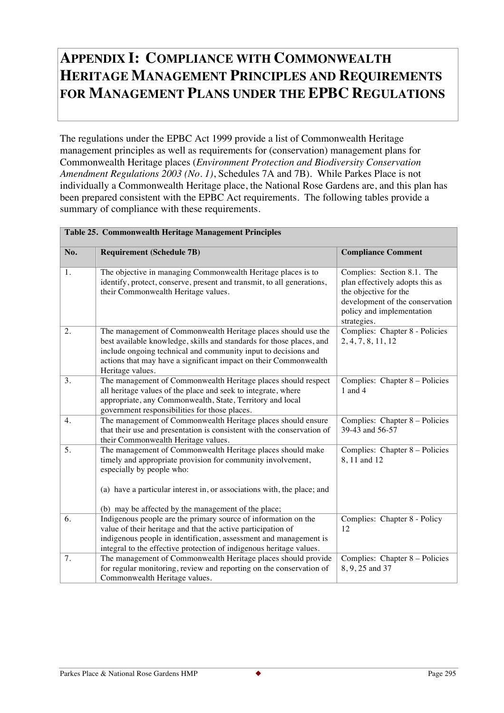# **APPENDIX I: COMPLIANCE WITH COMMONWEALTH HERITAGE MANAGEMENT PRINCIPLES AND REQUIREMENTS FOR MANAGEMENT PLANS UNDER THE EPBC REGULATIONS**

The regulations under the EPBC Act 1999 provide a list of Commonwealth Heritage management principles as well as requirements for (conservation) management plans for Commonwealth Heritage places (*Environment Protection and Biodiversity Conservation Amendment Regulations 2003 (No. 1)*, Schedules 7A and 7B). While Parkes Place is not individually a Commonwealth Heritage place, the National Rose Gardens are, and this plan has been prepared consistent with the EPBC Act requirements. The following tables provide a summary of compliance with these requirements.

| Table 25. Commonwealth Heritage Management Principles |                                                                                                                                                                                                                                                                                                 |                                                                                                                                                                       |  |  |  |  |
|-------------------------------------------------------|-------------------------------------------------------------------------------------------------------------------------------------------------------------------------------------------------------------------------------------------------------------------------------------------------|-----------------------------------------------------------------------------------------------------------------------------------------------------------------------|--|--|--|--|
| No.                                                   | <b>Requirement (Schedule 7B)</b>                                                                                                                                                                                                                                                                | <b>Compliance Comment</b>                                                                                                                                             |  |  |  |  |
| 1.                                                    | The objective in managing Commonwealth Heritage places is to<br>identify, protect, conserve, present and transmit, to all generations,<br>their Commonwealth Heritage values.                                                                                                                   | Complies: Section 8.1. The<br>plan effectively adopts this as<br>the objective for the<br>development of the conservation<br>policy and implementation<br>strategies. |  |  |  |  |
| $\overline{2}$ .                                      | The management of Commonwealth Heritage places should use the<br>best available knowledge, skills and standards for those places, and<br>include ongoing technical and community input to decisions and<br>actions that may have a significant impact on their Commonwealth<br>Heritage values. | Complies: Chapter 8 - Policies<br>2, 4, 7, 8, 11, 12                                                                                                                  |  |  |  |  |
| 3.                                                    | The management of Commonwealth Heritage places should respect<br>all heritage values of the place and seek to integrate, where<br>appropriate, any Commonwealth, State, Territory and local<br>government responsibilities for those places.                                                    | Complies: Chapter 8 – Policies<br>1 and 4                                                                                                                             |  |  |  |  |
| 4.                                                    | The management of Commonwealth Heritage places should ensure<br>that their use and presentation is consistent with the conservation of<br>their Commonwealth Heritage values.                                                                                                                   | Complies: Chapter 8 – Policies<br>39-43 and 56-57                                                                                                                     |  |  |  |  |
| 5.                                                    | The management of Commonwealth Heritage places should make<br>timely and appropriate provision for community involvement,<br>especially by people who:<br>(a) have a particular interest in, or associations with, the place; and                                                               | Complies: Chapter 8 - Policies<br>8, 11 and 12                                                                                                                        |  |  |  |  |
| 6.                                                    | (b) may be affected by the management of the place;<br>Indigenous people are the primary source of information on the                                                                                                                                                                           | Complies: Chapter 8 - Policy                                                                                                                                          |  |  |  |  |
|                                                       | value of their heritage and that the active participation of<br>indigenous people in identification, assessment and management is<br>integral to the effective protection of indigenous heritage values.                                                                                        | 12                                                                                                                                                                    |  |  |  |  |
| 7.                                                    | The management of Commonwealth Heritage places should provide<br>for regular monitoring, review and reporting on the conservation of<br>Commonwealth Heritage values.                                                                                                                           | Complies: Chapter 8 – Policies<br>8, 9, 25 and 37                                                                                                                     |  |  |  |  |